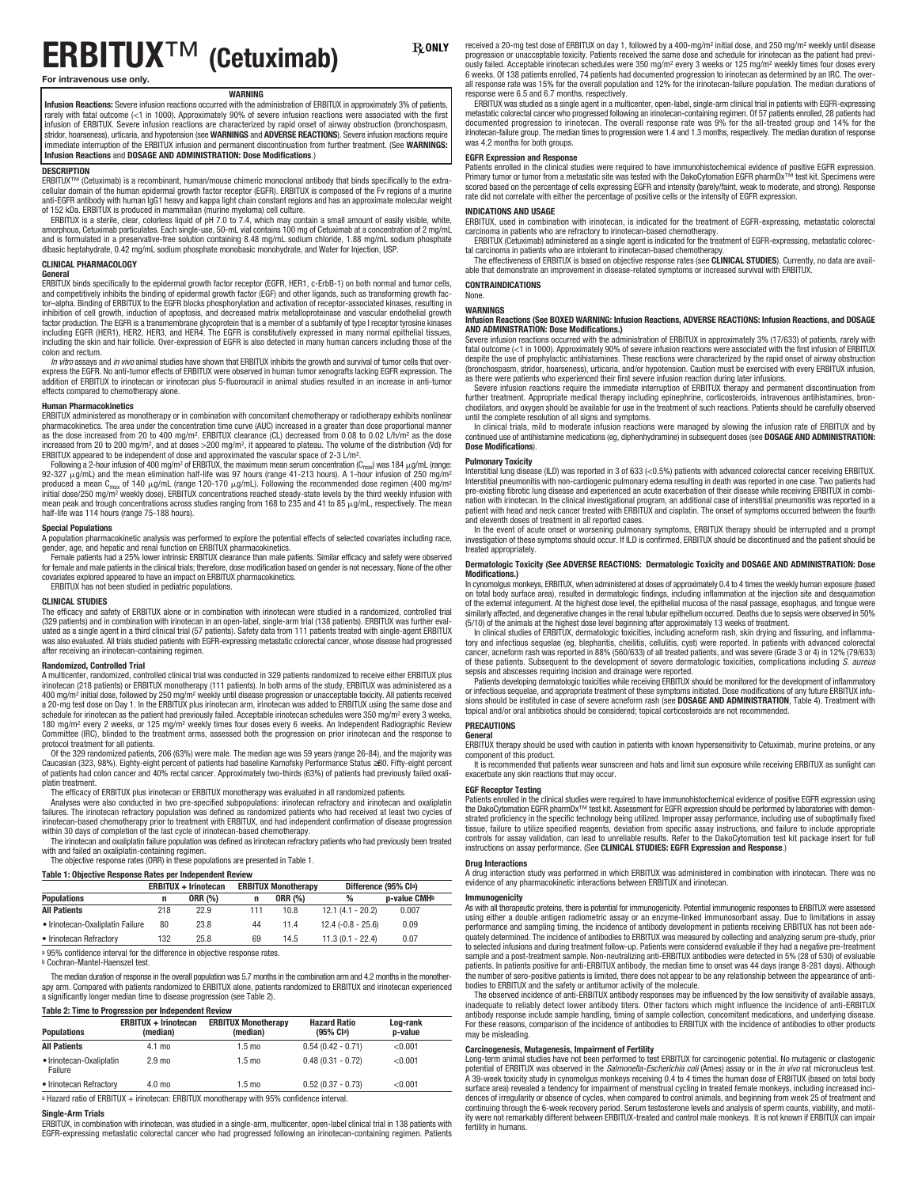# **ERBITUX**™ **(Cetuximab)**

**For intravenous use only.**

**WARNING Infusion Reactions:** Severe infusion reactions occurred with the administration of FRBITUX in approximately 3% of patients rarely with fatal outcome (<1 in 1000). Approximately 90% of severe infusion reactions were associated with the first infusion of ERBITUX. Severe infusion reactions are characterized by rapid onset of airway obstruction (bronchospasm, stridor, hoarseness), urticaria, and hypotension (see **WARNINGS** and **ADVERSE REACTIONS**). Severe infusion reactions require immediate interruption of the ERBITUX infusion and permanent discontinuation from further treatment. (See **WARNINGS: Infusion Reactions** and **DOSAGE AND ADMINISTRATION: Dose Modifications**.)

# **DESCRIPTION**

ERBITUX™ (Cetuximab) is a recombinant, human/mouse chimeric monoclonal antibody that binds specifically to the extracellular domain of the human epidermal growth factor receptor (EGFR). ERBITUX is composed of the Fv regions of a murine anti-EGFR antibody with human IgG1 heavy and kappa light chain constant regions and has an approximate molecular weight of 152 kDa. ERBITUX is produced in mammalian (murine myeloma) cell culture.

ERBITUX is a sterile, clear, colorless liquid of pH 7.0 to 7.4, which may contain a small amount of easily visible, white,<br>amorphous, Cetuximab particulates. Each single-use, 50-mL vial contains 100 mg of Cetuximab at a co and is formulated in a preservative-free solution containing 8.48 mg/mL sodium chloride, 1.88 mg/mL sodium phosphate dibasic heptahydrate, 0.42 mg/mL sodium phosphate monobasic monohydrate, and Water for Injection, USP.

#### **CLINICAL PHARMACOLOGY**

**General**

ERBITUX binds specifically to the epidermal growth factor receptor (EGFR, HER1, c-ErbB-1) on both normal and tumor cells, and competitively inhibits the binding of epidermal growth factor (EGF) and other ligands, such as transforming growth factor–alpha. Binding of ERBITUX to the EGFR blocks phosphorylation and activation of receptor-associated kinases, resulting in<br>inhibition of cell growth, induction of apoptosis, and decreased matrix metalloproteinase and vas factor production. The EGFR is a transmembrane glycoprotein that is a member of a subfamily of type I receptor tyrosine kinases<br>including EGFR (HER1), HER2, HER3, and HER4. The EGFR is constitutively expressed in many norm including the skin and hair follicle. Over-expression of EGFR is also detected in many human cancers including those of the colon and rectum.

*In vitro* assays and *in vivo* animal studies have shown that ERBITUX inhibits the growth and survival of tumor cells that over-<br>express the EGFR. No anti-tumor effects of ERBITUX were observed in human tumor xenografts l effects compared to chemotherapy alone.

### **Human Pharmacokinetics**

ERBITUX administered as monotherapy or in combination with concomitant chemotherapy or radiotherapy exhibits nonlinear pharmacokinetics. The area under the concentration time curve (AUC) increased in a greater than dose proportional manner<br>as the dose increased from 20 to 400 mg/m². ERBITUX clearance (CL) decreased from 0.08 to 0.02 L/h/m²

increased from 20 to 200 mg/m<sup>2</sup>, and at doses >200 mg/m<sup>2</sup>, it appeared to plateau. The volume of the distribution (Vd) for<br>FRBITUX appeared to be independent of dose and approximated the vascular space of 2-3 L/m<sup>2</sup>.<br>Fol produced a mean C<sub>max</sub> of 140 μg/mL (range 120-170 μg/mL). Following the recommended dose regimen (400 mg/m<sup>2</sup><br>initial dose/250 mg/m<sup>2</sup> weekly dose), ERBITUX concentrations reached steady-state levels by the third weekly half-life was 114 hours (range 75-188 hours).

#### **Special Populations**

A population pharmacokinetic analysis was performed to explore the potential effects of selected covariates including race, gender, age, and hepatic and renal function on ERBITUX pharmacokinetics.

Female patients had a 25% lower intrinsic ERBITUX clearance than male patients. Similar efficacy and safety were observed for female and male patients in the clinical trials; therefore, dose modification based on gender is not necessary. None of the other covariates explored appeared to have an impact on ERBITUX pharmacokinetics.

ERBITUX has not been studied in pediatric populations.

### **CLINICAL STUDIES**

The efficacy and safety of ERBITUX alone or in combination with irinotecan were studied in a randomized, controlled trial<br>(329 patients) and in combination with irinotecan in an open-label, single-arm trial (138 patients). uated as a single agent in a third clinical trial (57 patients). Safety data from 111 patients treated with single-agent ERBITUX<br>was also evaluated. All trials studied patients with EGFR-expressing metastatic colorectal ca after receiving an irinotecan-containing regimen.

# **Randomized, Controlled Trial**

A multicenter, randomized, controlled clinical trial was conducted in 329 patients randomized to receive either ERBITUX plus irinotecan (218 patients) or ERBITUX monotherapy (111 patients). In both arms of the study, ERBITUX was administered as a<br>400 mg/m² initial dose, followed by 250 mg/m² weekly until disease progression or unacceptable toxic schedule for irinotecan as the patient had previously failed. Acceptable irinotecan schedules were 350 mg/m² every 3 weeks,<br>180 mg/m² every 2 weeks, or 125 mg/m² weekly times four doses every 6 weeks. An Independent Radiog Committee (IRC), blinded to the treatment arms, assessed both the progression on prior irinotecan and the response to protocol treatment for all patients.

Of the 329 randomized patients, 206 (63%) were male. The median age was 59 years (range 26-84), and the majority was<br>Caucasian (323, 98%). Eighty-eight percent of patients had baseline Karnofsky Performance Status ≥80. Fi of patients had colon cancer and 40% rectal cancer. Approximately two-thirds (63%) of patients had previously failed oxaliplatin treatment.

The efficacy of ERBITUX plus irinotecan or ERBITUX monotherapy was evaluated in all randomized patients.

Analyses were also conducted in two pre-specified subpopulations: irinotecan refractory and irinotecan and oxaliplatin<br>failures. The irinotecan refractory population was defined as randomized patients who had received at l irinotecan-based chemotherapy prior to treatment with ERBITUX, and had independent confirmation of disease progression within 30 days of completion of the last cycle of irinotecan-based chemotherapy.

The irinotecan and oxaliplatin failure population was defined as irinotecan refractory patients who had previously been treated with and failed an oxaliplatin-containing regimen.

The objective response rates (ORR) in these populations are presented in Table 1.

#### **Table 1: Objective Response Rates per Independent Review**

|                                  | <b>ERBITUX Monotherapy</b><br><b>ERBITUX + Irinotecan</b> |                |     |                | Difference (95% Cla) |              |  |
|----------------------------------|-----------------------------------------------------------|----------------|-----|----------------|----------------------|--------------|--|
| <b>Populations</b>               | n                                                         | <b>ORR (%)</b> | n   | <b>ORR (%)</b> | %                    | p-value CMHb |  |
| <b>All Patients</b>              | 218                                                       | 22.9           | 111 | 10.8           | $12.1(4.1 - 20.2)$   | 0.007        |  |
| • Irinotecan-Oxaliplatin Failure | 80                                                        | 23.8           | 44  | 11.4           | $12.4(-0.8 - 25.6)$  | 0.09         |  |
| • Irinotecan Refractory          | 132                                                       | 25.8           | 69  | 14.5           | $11.3(0.1 - 22.4)$   | 0.07         |  |

a 95% confidence interval for the difference in objective response rates.

<sup>b</sup> Cochran-Mantel-Haenszel test.

The median duration of response in the overall population was 5.7 months in the combination arm and 4.2 months in the monotherapy arm. Compared with patients randomized to ERBITUX alone, patients randomized to ERBITUX and irinotecan experienced a significantly longer median time to disease progression (see Table 2).

**Table 2: Time to Progression per Independent Review**

| <b>Populations</b>                         | <b>ERBITUX + Irinotecan</b><br>(median) | <b>ERBITUX Monotherapy</b><br>(median) | <b>Hazard Ratio</b><br>$(95% \text{ Cla})$ | Log-rank<br>p-value |
|--------------------------------------------|-----------------------------------------|----------------------------------------|--------------------------------------------|---------------------|
| <b>All Patients</b>                        | 4.1 mo                                  | $1.5 \text{ mo}$                       | $0.54(0.42 - 0.71)$                        | < 0.001             |
| • Irinotecan-Oxaliplatin<br><b>Failure</b> | 2.9 <sub>mo</sub>                       | $1.5 \text{ mo}$                       | $0.48(0.31 - 0.72)$                        | < 0.001             |
| • Irinotecan Refractory                    | 4.0 mo                                  | 1.5 <sub>mo</sub>                      | $0.52(0.37 - 0.73)$                        | < 0.001             |

a Hazard ratio of ERBITUX + irinotecan: ERBITUX monotherapy with 95% confidence interval.

#### **Single-Arm Trials**

ERBITUX, in combination with irinotecan, was studied in a single-arm, multicenter, open-label clinical trial in 138 patients with EGFR-expressing metastatic colorectal cancer who had progressed following an irinotecan-containing regimen. Patients

received a 20-mg test dose of ERBITUX on day 1, followed by a 400-mg/m<sup>2</sup> initial dose, and 250 mg/m<sup>2</sup> weekly until disease progression or unacceptable toxicity. Patients received the same dose and schedule for irinotecan as the patient had previ-<br>ously failed. Acceptable irinotecan schedules were 350 mg/m² every 3 weeks or 125 mg/m² weekly tim 6 weeks. Of 138 patients enrolled, 74 patients had documented progression to irinotecan as determined by an IRC. The overall response rate was 15% for the overall population and 12% for the irinotecan-failure population. The median durations of response were 6.5 and 6.7 months, respectively.

ERBITUX was studied as a single agent in a multicenter, open-label, single-arm clinical trial in patients with EGFR-expressing metastatic colorectal cancer who progressed following an irinotecan-containing regimen. Of 57 patients enrolled, 28 patients had<br>documented progression to irinotecan. The overall response rate was 9% for the all-treated gr irinotecan-failure group. The median times to progression were 1.4 and 1.3 months, respectively. The median duration of response was 4.2 months for both groups.

# **EGFR Expression and Response**

Patients enrolled in the clinical studies were required to have immunohistochemical evidence of positive EGFR expression. Primary tumor or tumor from a metastatic site was tested with the DakoCytomation EGFR pharmDx™ test kit. Specimens were<br>scored based on the percentage of cells expressing EGFR and intensity (barely/faint, weak to moderate rate did not correlate with either the percentage of positive cells or the intensity of EGFR expression.

#### **INDICATIONS AND USAGE**

ERBITUX, used in combination with irinotecan, is indicated for the treatment of EGFR-expressing, metastatic colorectal

carcinoma in patients who are refractory to irinotecan-based chemotherapy. ERBITUX (Cetuximab) administered as a single agent is indicated for the treatment of EGFR-expressing, metastatic colorectal carcinoma in patients who are intolerant to irinotecan-based chemotherapy.

-The effectiveness of ERBITUX is based on objective response rates (see **CLINICAL STUDIES**). Currently, no data are avail-<br>able that demonstrate an improvement in disease-related symptoms or increased survival with ERBITUX

### **CONTRAINDICATIONS**

## None. **WARNINGS**

**Infusion Reactions (See BOXED WARNING: Infusion Reactions, ADVERSE REACTIONS: Infusion Reactions, and DOSAGE AND ADMINISTRATION: Dose Modifications.)**

Severe infusion reactions occurred with the administration of ERBITUX in approximately 3% (17/633) of patients, rarely with fatal outcome (<1 in 1000). Approximately 90% of severe infusion reactions were associated with the first infusion of ERBITUX despite the use of prophylactic antihistamines. These reactions were characterized by the rapid onset of airway obstruction<br>(bronchospasm, stridor, hoarseness), urticaria, and/or hypotension. Caution must be exercised with

as there were patients who experienced their first severe infusion reaction during later infusions. Severe infusion reactions require the immediate interruption of ERBITUX therapy and permanent discontinuation from further treatment. Appropriate medical therapy including epinephrine, corticosteroids, intravenous antihistamines, bronchodilators, and oxygen should be available for use in the treatment of such reactions. Patients should be carefully observed until the complete resolution of all signs and symptoms.

In clinical trials, mild to moderate infusion reactions were managed by slowing the infusion rate of ERBITUX and by continued use of antihistamine medications (eg, diphenhydramine) in subsequent doses (see **DOSAGE AND ADMINISTRATION: Dose Modifications**).

**Pulmonary Toxicity** Interstitial lung disease (ILD) was reported in 3 of 633 (<0.5%) patients with advanced colorectal cancer receiving ERBITUX. Interstitial pneumonitis with non-cardiogenic pulmonary edema resulting in death was reported in one case. Two patients had pre-existing fibrotic lung disease and experienced an acute exacerbation of their disease while receiving ERBITUX in combi-<br>pre-existing fibrotic lung disease and experienced an acute exacerbation of their disease while re nation with irinotecan. In the clinical investigational program, an additional case of interstitial pneumonitis was reported in a patient with head and neck cancer treated with ERBITUX and cisplatin. The onset of symptoms occurred between the fourth and eleventh doses of treatment in all reported cases.

In the event of acute onset or worsening pulmonary symptoms, ERBITUX therapy should be interrupted and a prompt<br>investigation of these symptoms should occur. If ILD is confirmed, ERBITUX should be discontinued and the pati treated appropriately.

#### **Dermatologic Toxicity (See ADVERSE REACTIONS: Dermatologic Toxicity and DOSAGE AND ADMINISTRATION: Dose Modifications.)**

In cynomolgus monkeys, ERBITUX, when administered at doses of approximately 0.4 to 4 times the weekly human exposure (based on total body surface area), resulted in dermatologic findings, including inflammation at the injection site and desquamation of the external integument. At the highest dose level, the epithelial mucosa of the nasal passage, esophagus, and tongue were<br>similarly affected, and degenerative changes in the renal tubular epithelium occurred. Deaths du (5/10) of the animals at the highest dose level beginning after approximately 13 weeks of treatment.

-In clinical studies of ERBITUX, dermatologic toxicities, including acneform rash, skin drying and fissuring, and inflamma<br>tory and infectious sequelae (eg, blepharitis, cheilitis, cellulitis, cyst) were reported. In patie cancer, acneform rash was reported in 88% (560/633) of all treated patients, and was severe (Grade 3 or 4) in 12% (79/633) of these patients. Subsequent to the development of severe dermatologic toxicities, complications including *S. aureus*

sepsis and abscesses requiring incision and drainage were reported. Patients developing dermatologic toxicities while receiving ERBITUX should be monitored for the development of inflammatory or infectious sequelae, and appropriate treatment of these symptoms initiated. Dose modifications of any future ERBITUX infu-<br>sions should be instituted in case of severe acneform rash (see **DOSAGE AND ADMINISTRATION**, Tab topical and/or oral antibiotics should be considered; topical corticosteroids are not recommended.

# **PRECAUTIONS**

**General**<br>ERBITUX therapy should be used with caution in patients with known hypersensitivity to Cetuximab, murine proteins, or any

component of this product. It is recommended that patients wear sunscreen and hats and limit sun exposure while receiving ERBITUX as sunlight can exacerbate any skin reactions that may occur.

# **EGF Receptor Testing**

Patients enrolled in the clinical studies were required to have immunohistochemical evidence of positive EGFR expression using the DakoCytomation EGFR pharmDx™ test kit. Assessment for EGFR expression should be performed by laboratories with demon-<br>strated proficiency in the specific technology being utilized. Improper assay performance, includin tissue, failure to utilize specified reagents, deviation from specific assay instructions, and failure to include appropriate controls for assay validation, can lead to unreliable results. Refer to the DakoCytomation test kit package insert for full instructions on assay performance. (See **CLINICAL STUDIES: EGFR Expression and Response**.)

# **Drug Interactions**

A drug interaction study was performed in which ERBITUX was administered in combination with irinotecan. There was no<br>evidence of any pharmacokinetic interactions between ERBITUX and irinotecan.

#### **Immunogenicity**

As with all therapeutic proteins, there is potential for immunogenicity. Potential immunogenic responses to ERBITUX were assessed using either a double antigen radiometric assay or an enzyme-linked immunosorbant assay. Due to limitations in assay performance and sampling timing, the incidence of antibody development in patients receiving ERBITUX has not been ade-<br>quately determined. The incidence of antibodies to ERBITUX was measured by collecting and analyzing ser sample and a post-treatment sample. Non-neutralizing anti-ERBITUX antibodies were detected in 5% (28 of 530) of evaluable<br>patients. In patients positive for anti-ERBITUX antibody, the median time to onset was 44 days (rang the number of sero-positive patients is limited, there does not appear to be any relationship between the appearance of anti-<br>bodies to ERBITUX and the safety or antitumor activity of the molecule.

The observed incidence of anti-ERBITUX antibody responses may be influenced by the low sensitivity of available assays, inadequate to reliably detect lower antibody titers. Other factors which might influence the incidence of anti-ERBITUX antibody response include sample handling, timing of sample collection, concomitant medications, and underlying disease.<br>For these reasons, comparison of the incidence of antibodies to ERBITUX with the incidence of antibod may be misleading.

# **Carcinogenesis, Mutagenesis, Impairment of Fertility**

Long-term animal studies have not been performed to test ERBITUX for carcinogenic potential. No mutagenic or clastogenic<br>potential of ERBITUX was observed in the *Salmonella-Escherichia coli (*Ames) assay or in the *in viv* A 39-week toxicity study in cynomolgus monkeys receiving 0.4 to 4 times the human dose of ERBITUX (based on total body<br>surface area) revealed a tendency for impairment of menstrual cycling in treated female monkeys, includ dences of irregularity or absence of cycles, when compared to control animals, and beginning from week 25 of treatment and<br>continuing through the 6-week recovery period. Serum testosterone levels and analysis of sperm coun fertility in humans.

 $\mathbf R$  only